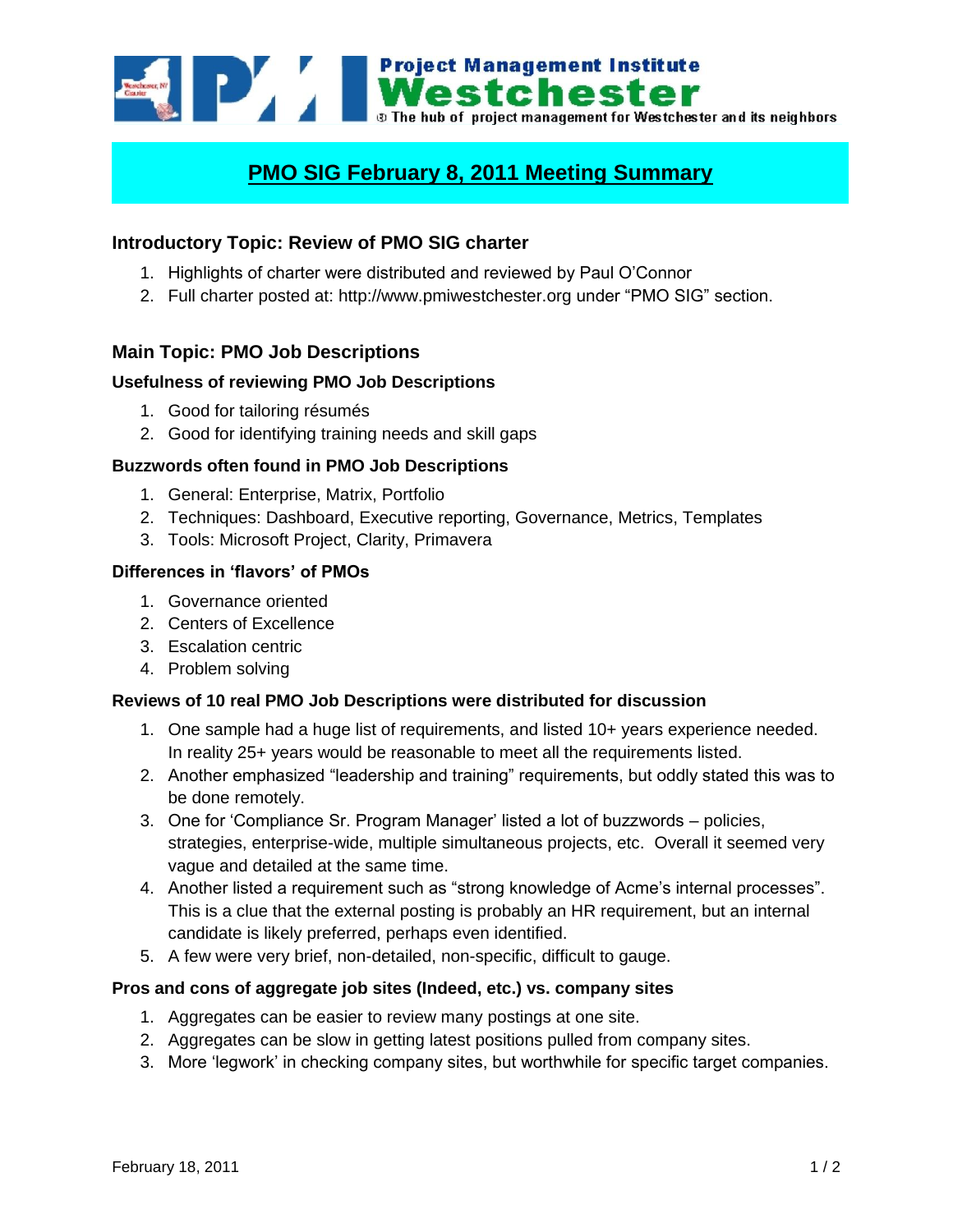

# **PMO SIG February 8, 2011 Meeting Summary**

# **Introductory Topic: Review of PMO SIG charter**

- 1. Highlights of charter were distributed and reviewed by Paul O"Connor
- 2. Full charter posted at: http://www.pmiwestchester.org under "PMO SIG" section.

## **Main Topic: PMO Job Descriptions**

### **Usefulness of reviewing PMO Job Descriptions**

- 1. Good for tailoring résumés
- 2. Good for identifying training needs and skill gaps

### **Buzzwords often found in PMO Job Descriptions**

- 1. General: Enterprise, Matrix, Portfolio
- 2. Techniques: Dashboard, Executive reporting, Governance, Metrics, Templates
- 3. Tools: Microsoft Project, Clarity, Primavera

### **Differences in 'flavors' of PMOs**

- 1. Governance oriented
- 2. Centers of Excellence
- 3. Escalation centric
- 4. Problem solving

#### **Reviews of 10 real PMO Job Descriptions were distributed for discussion**

- 1. One sample had a huge list of requirements, and listed 10+ years experience needed. In reality 25+ years would be reasonable to meet all the requirements listed.
- 2. Another emphasized "leadership and training" requirements, but oddly stated this was to be done remotely.
- 3. One for "Compliance Sr. Program Manager" listed a lot of buzzwords policies, strategies, enterprise-wide, multiple simultaneous projects, etc. Overall it seemed very vague and detailed at the same time.
- 4. Another listed a requirement such as "strong knowledge of Acme"s internal processes". This is a clue that the external posting is probably an HR requirement, but an internal candidate is likely preferred, perhaps even identified.
- 5. A few were very brief, non-detailed, non-specific, difficult to gauge.

#### **Pros and cons of aggregate job sites (Indeed, etc.) vs. company sites**

- 1. Aggregates can be easier to review many postings at one site.
- 2. Aggregates can be slow in getting latest positions pulled from company sites.
- 3. More "legwork" in checking company sites, but worthwhile for specific target companies.